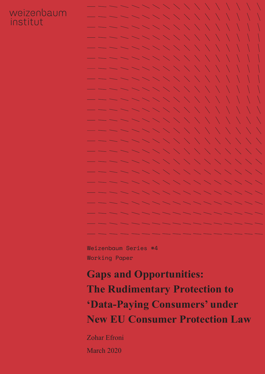## weizenbaum institut



Weizenbaum Series #4 Working Paper

# **Gaps and Opportunities: The Rudimentary Protection to 'Data-Paying Consumers' under New EU Consumer Protection Law**

Zohar Efroni March 2020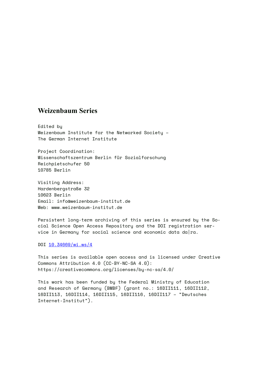#### **Weizenbaum Series**

Edited by Weizenbaum Institute for the Networked Society – The German Internet Institute

Project Coordination: Wissenschaftszentrum Berlin für Sozialforschung Reichpietschufer 50 10785 Berlin

Visiting Address: Hardenbergstraße 32 10623 Berlin Email: info@weizenbaum-institut.de Web: www.weizenbaum-institut.de

Persistent long-term archiving of this series is ensured by the Social Science Open Access Repository and the DOI registration service in Germany for social science and economic data da|ra.

DOI [10.34669/wi.ws/](http://dx.doi.org/10.34669/wi.ws/4)4

This series is available open access and is licensed under Creative Commons Attribution 4.0 (CC-BY-NC-SA 4.0): <https://creativecommons.org/licenses/by-nc-sa/4.0/>

This work has been funded by the Federal Ministry of Education and Research of Germany (BMBF) (grant no.: 16DII111, 16DII112, 16DII113, 16DII114, 16DII115, 16DII116, 16DII117 – "Deutsches Internet-Institut").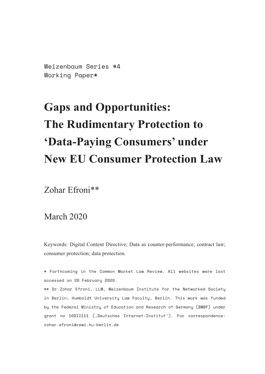Weizenbaum Series #4 Working Paper\*

# **Gaps and Opportunities: The Rudimentary Protection to 'Data-Paying Consumers' under New EU Consumer Protection Law**

Zohar Efroni\*\*

March 2020

Keywords: Digital Content Directive; Data as counter-performance; contract law; consumer protection; data protection.

\* Forthcoming in the Common Market Law Review. All websites were last accessed on 20 February 2020.

\*\* Dr Zohar Efroni, LLM, Weizenbaum Institute for the Networked Society in Berlin; Humboldt University Law Faculty, Berlin. This work was funded by the Federal Ministry of Education and Research of Germany (BMBF) under grant no 16DII111 ('Deutsches Internet-Institut'). For correspondence: [zohar.efroni@rewi.hu-berlin.de](mailto:?subject=)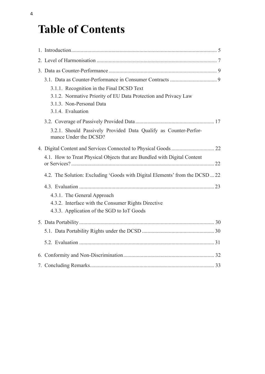## **Table of Contents**

| 3.1.1. Recognition in the Final DCSD Text                                                 |
|-------------------------------------------------------------------------------------------|
| 3.1.2. Normative Priority of EU Data Protection and Privacy Law                           |
| 3.1.3. Non-Personal Data                                                                  |
| 3.1.4. Evaluation                                                                         |
|                                                                                           |
| 3.2.1. Should Passively Provided Data Qualify as Counter-Perfor-<br>mance Under the DCSD? |
|                                                                                           |
| 4.1. How to Treat Physical Objects that are Bundled with Digital Content                  |
| 4.2. The Solution: Excluding 'Goods with Digital Elements' from the DCSD  22              |
|                                                                                           |
| 4.3.1. The General Approach                                                               |
| 4.3.2. Interface with the Consumer Rights Directive                                       |
| 4.3.3. Application of the SGD to IoT Goods                                                |
|                                                                                           |
|                                                                                           |
|                                                                                           |
|                                                                                           |
|                                                                                           |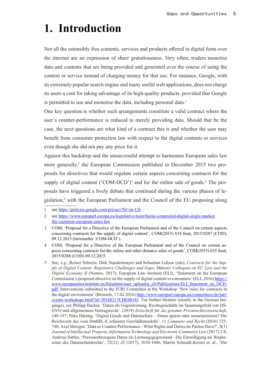## <span id="page-4-0"></span>**1. Introduction**

Not all the ostensibly free contents, services and products offered in digital form over the internet are an expression of sheer gratuitousness. Very often, traders monetise data and contents that are being provided and generated over the course of using the content or service instead of charging money for that use. For instance, Google, with its extremely popular search engine and many useful web applications, does not charge its users a cent for taking advantage of its high-quality products, provided that Google is permitted to use and monetise the data, including personal data.<sup>1</sup>

One key question is whether such arrangements constitute a valid contract where the user's counter-performance is reduced to merely providing data. Should that be the case, the next questions are what kind of a contract this is and whether the user may benefit from consumer protection law with respect to the digital contents or services even though she did not pay any price for it.

Against this backdrop and the unsuccessful attempt to harmonise European sales law more generally,<sup>2</sup> the European Commission published in December 2015 two proposals for directives that would regulate certain aspects concerning contracts for the supply of digital content  $({\rm 'COM-DCD'})^3$  and for the online sale of goods.<sup>4</sup> The proposals have triggered a lively debate that continued during the various phases of legislation,<sup>5</sup> with the European Parliament and the Council of the EU proposing along

<sup>1</sup> see<https://policies.google.com/privacy?hl=en-US>

<sup>2</sup> see [https://www.europarl.europa.eu/legislative-train/theme-connected-digital-single-market/](https://www.europarl.europa.eu/legislative-train/theme-connected-digital-single-market/file-common-european-sales-law) [file-common-european-sales-law](https://www.europarl.europa.eu/legislative-train/theme-connected-digital-single-market/file-common-european-sales-law)

<sup>3</sup> COM, 'Proposal for a Directive of the European Parliament and of the Council on certain aspects concerning contracts for the supply of digital content', COM(2015) 634 final, 2015/0287 (COD), 09.12.2015 (hereinafter 'COM-DCD').

<sup>4</sup> COM, 'Proposal for a Directive of the European Parliament and of the Council on certain aspects concerning contracts for the online and other distance sales of goods', COM(2015) 635 final, 2015/0288 (COD) 09.12.2015.

<sup>5</sup> See, e.g., Reiner Schulze, Dirk Staudenmayer and Sebastian Lohsse (eds), *Contracts for the Supply of Digital Content: Regulatory Challenges and Gaps*, *Münster Colloquia on EU Law and the Digital Economy II* (Nomos, 2017); European Law Institute (ELI), 'Statement on the European Commission's proposed directive on the supply of digital content to consumers' (ELI, 2016) [https://](https://www.europeanlawinstitute.eu/fileadmin/user_upload/p_eli/Publications/ELI_Statement_on_DCD.pdf) [www.europeanlawinstitute.eu/fileadmin/user\\_upload/p\\_eli/Publications/ELI\\_Statement\\_on\\_DCD.](https://www.europeanlawinstitute.eu/fileadmin/user_upload/p_eli/Publications/ELI_Statement_on_DCD.pdf) [pdf;](https://www.europeanlawinstitute.eu/fileadmin/user_upload/p_eli/Publications/ELI_Statement_on_DCD.pdf) Interventions submitted to the JURI Committee at the Workshop 'New rules for contracts in the digital environment' (Brussels, 17.02.2016) [http://www.europarl.europa.eu/committees/de/juri/](http://www.europarl.europa.eu/committees/de/juri/events-workshops.html?id=20160217CHE00181) [events-workshops.html?id=20160217CHE00181](http://www.europarl.europa.eu/committees/de/juri/events-workshops.html?id=20160217CHE00181). For further litrature (mostly in the German language), see Philipp Hacker, 'Daten als Gegenleistung: Rechtsgeschäfte im Spannungsfeld von DS-GVO und allgemeinem Vertragsrecht', (2019) *Zeitschrift für die gesamte Privatrechtswissenchaft*, 148-197; Niko Härting, 'Digital Goods und Datenschutz – Daten sparen oder monetarisieren? Die Reichweite des vom DinhRL-E erfassten Geschäftsmodells', 11 *Computer und Recht* (2016) 735- 740; Axel Metzger, 'Data as Counter-Performance - What Rights and Duties do Parties Have?', 8(1) *Journal of Intellectual Property, Information Technology and Electronic Commerce Law* (2017) 2-8; Andreas Sattler, 'Personenbezogene Daten als Leistungsgegenstand - Die Einwilligung als Wegbereiter des Datenschuldrechts', 72(21*) JZ* (2017), 1036-1046; Martin Schmidt-Kessel et. al., 'Die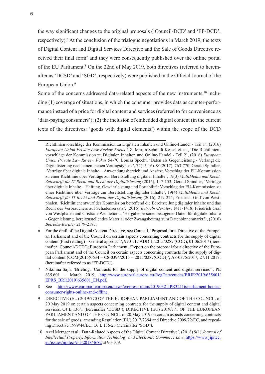the way significant changes to the original proposals ('Council-DCD' and 'EP-DCD', respectively).<sup>6</sup> At the conclusion of the trialogue negotiations in March 2019, the texts of Digital Content and Digital Services Directive and the Sale of Goods Directive received their final form<sup>7</sup> and they were consequently published over the online portal of the EU Parliament.<sup>8</sup> On the 22nd of May 2019, both directives (referred to hereinafter as 'DCSD' and 'SGD', respectively) were published in the Official Journal of the European Union.<sup>9</sup>

Some of the concerns addressed data-related aspects of the new instruments, $10$  including (1) coverage of situations, in which the consumer provides data as counter-performance instead of a price for digital content and services (referred to for convenience as 'data-paying consumers'); (2) the inclusion of embedded digital content (in the current texts of the directives: 'goods with digital elements') within the scope of the DCD

- 6 For the draft of the Digital Content Directive, see Council, 'Proposal for a Directive of the European Parliament and of the Council on certain aspects concerning contracts for the supply of digital content (First reading) – General approach', 9901/17 ADD 1, 2015/0287 (COD), 01.06.2017 (hereinafter 'Council-DCD'); European Parliament, 'Report on the proposal for a directive of the European Parliament and of the Council on certain aspects concerning contracts for the supply of digital content (COM(2015)0634 – C8-0394/2015 – 2015/0287(COD))', A8-0375/2017, 27.11.2017; (hereinafter referred to as 'EP-DCD').
- 7 Nikolina Sajn, 'Briefing, `Contracts for the supply of digital content and digital services`', PE 635.601 – March 2019, [http://www.europarl.europa.eu/RegData/etudes/BRIE/2019/635601/](http://www.europarl.europa.eu/RegData/etudes/BRIE/2019/635601/EPRS_BRI(2019)635601_EN.pdf) [EPRS\\_BRI\(2019\)635601\\_EN.pdf](http://www.europarl.europa.eu/RegData/etudes/BRIE/2019/635601/EPRS_BRI(2019)635601_EN.pdf).
- 8 See [http://www.europarl.europa.eu/news/en/press-room/20190321IPR32116/parliament-boosts](http://www.europarl.europa.eu/news/en/press-room/20190321IPR32116/parliament-boosts-consumer-rights-online-and-offline)[consumer-rights-online-and-offline](http://www.europarl.europa.eu/news/en/press-room/20190321IPR32116/parliament-boosts-consumer-rights-online-and-offline).
- 9 DIRECTIVE (EU) 2019/770 OF THE EUROPEAN PARLIAMENT AND OF THE COUNCIL of 20 May 2019 on certain aspects concerning contracts for the supply of digital content and digital services, OJ L 136/1 (hereinafter 'DCSD'); DIRECTIVE (EU) 2019/771 OF THE EUROPEAN PARLIAMENT AND OF THE COUNCIL of 20 May 2019 on certain aspects concerning contracts for the sale of goods, amending Regulation (EU) 2017/2394 and Directive 2009/22/EC, and repealing Directive 1999/44/EC, OJ L 136/28 (hereinafter 'SGD').
- 10 Axel Metzger et al. 'Data-Related Aspects of the Digital Content Directive', (2018) 9(1) *Journal of Intellectual Property, Information Technology and Electronic Commerce Law*, [https://www.jipitec.](https://www.jipitec.eu/issues/jipitec-9-1-2018/4682) [eu/issues/jipitec-9-1-2018/4682](https://www.jipitec.eu/issues/jipitec-9-1-2018/4682) at 90-109.

Richtlinienvorschläge der Kommission zu Digitalen Inhalten und Online-Handel - Teil 1', (2016) *European Union Private Law Review Fokus* 2-8; Martin Schmidt-Kessel et. al., 'Die Richtlinienvorschläge der Kommission zu Digitalen Inhalten und Online-Handel - Teil 2', (2016) *European Union Private Law Review Fokus* 54-70; Louisa Specht, 'Daten als Gegenleistung - Verlangt die Digitalisierung nach einem neuen Vertragstypus?', 72(15-16) *JZ* (2017), 763-770; Gerald Spindler, 'Verträge über digitale Inhalte – Anwendungsbereich und Ansätze Vorschlag der EU-Kommission zu einer Richtlinie über Verträge zur Bereitstellung digitaler Inhalte', 19(3) *MultiMedia und Recht. Zeitschrift für IT-Recht und Recht der Digitalisierung* (2016), 147-153; Gerald Spindler, 'Verträge über digitale Inhalte – Haftung, Gewährleistung und Portabilität Vorschlag der EU-Kommission zu einer Richtlinie über Verträge zur Bereitstellung digitaler Inhalte', 19(4) *MultiMedia und Recht. Zeitschrift für IT-Recht und Recht der Digitalisierung* (2016), 219-224; Friedrich Graf von Westphalen, 'Richtlinienentwurf der Kommission betreffend die Bereitstellung digitaler Inhalte und das Recht des Verbrauchers auf Schadensersatz', (2016) *Betriebs-Berater*, 1411-1418; Friedrich Graf von Westphalen and Cristiane Wendehorst, 'Hergabe personenbezogener Daten für digitale Inhalte - Gegenleistung, bereitzustellendes Material oder Zwangsbeitrag zum Datenbinnenmarkt?', (2016) *Betriebs-Berater* 2179-2187.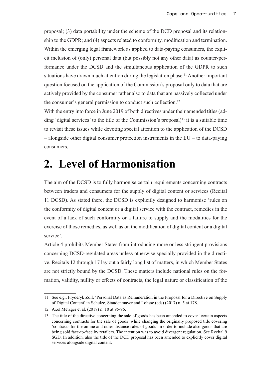<span id="page-6-0"></span>proposal; (3) data portability under the scheme of the DCD proposal and its relationship to the GDPR; and (4) aspects related to conformity, modification and termination. Within the emerging legal framework as applied to data-paying consumers, the explicit inclusion of (only) personal data (but possibly not any other data) as counter-performance under the DCSD and the simultaneous application of the GDPR to such situations have drawn much attention during the legislation phase.<sup>11</sup> Another important question focused on the application of the Commission's proposal only to data that are actively provided by the consumer rather also to data that are passively collected under the consumer's general permission to conduct such collection.<sup>12</sup>

With the entry into force in June 2019 of both directives under their amended titles (adding 'digital services' to the title of the Commission's proposal)<sup>13</sup> it is a suitable time to revisit these issues while devoting special attention to the application of the DCSD – alongside other digital consumer protection instruments in the EU – to data-paying consumers.

## **2. Level of Harmonisation**

The aim of the DCSD is to fully harmonise certain requirements concerning contracts between traders and consumers for the supply of digital content or services (Recital 11 DCSD). As stated there, the DCSD is explicitly designed to harmonise 'rules on the conformity of digital content or a digital service with the contract, remedies in the event of a lack of such conformity or a failure to supply and the modalities for the exercise of those remedies, as well as on the modification of digital content or a digital service'.

Article 4 prohibits Member States from introducing more or less stringent provisions concerning DCSD-regulated areas unless otherwise specially provided in the directive. Recitals 12 through 17 lay out a fairly long list of matters, in which Member States are not strictly bound by the DCSD. These matters include national rules on the formation, validity, nullity or effects of contracts, the legal nature or classification of the

<sup>11</sup> See e.g., Fryderyk Zoll, 'Personal Data as Remuneration in the Proposal for a Directive on Supply of Digital Content' in Schulze, Staudenmayer and Lohsse (eds) (2017) n. 5 at 178.

<sup>12</sup> Axel Metzger et al. (2018) n. 10 at 95-96.

<sup>13</sup> The title of the directive concerning the sale of goods has been amended to cover 'certain aspects concerning contracts for the sale of goods' while changing the originally proposed title covering 'contracts for the online and other distance sales of goods' in order to include also goods that are being sold face-to-face by retailers. The intention was to avoid divergent regulation. See Recital 9 SGD. In addition, also the title of the DCD proposal has been amended to explicitly cover digital services alongside digital content.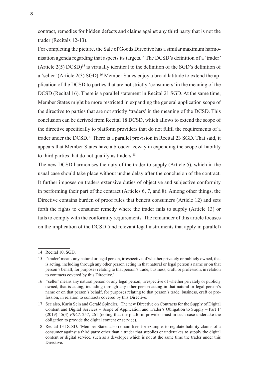contract, remedies for hidden defects and claims against any third party that is not the trader (Recitals 12-13).

For completing the picture, the Sale of Goods Directive has a similar maximum harmonisation agenda regarding that aspects its targets.14 The DCSD's definition of a 'trader' (Article  $2(5)$  DCSD)<sup>15</sup> is virtually identical to the definition of the SGD's definition of a 'seller' (Article 2(3) SGD).<sup>16</sup> Member States enjoy a broad latitude to extend the application of the DCSD to parties that are not strictly 'consumers' in the meaning of the DCSD (Recital 16). There is a parallel statement in Recital 21 SGD. At the same time, Member States might be more restricted in expanding the general application scope of the directive to parties that are not strictly 'traders' in the meaning of the DCSD. This conclusion can be derived from Recital 18 DCSD, which allows to extend the scope of the directive specifically to platform providers that do not fulfil the requirements of a trader under the DCSD.<sup>17</sup> There is a parallel provision in Recital 23 SGD. That said, it appears that Member States have a broader leeway in expending the scope of liability to third parties that do not qualify as traders.<sup>18</sup>

The new DCSD harmonises the duty of the trader to supply (Article 5), which in the usual case should take place without undue delay after the conclusion of the contract. It further imposes on traders extensive duties of objective and subjective conformity in performing their part of the contract (Articles 6, 7, and 8). Among other things, the Directive contains burden of proof rules that benefit consumers (Article 12) and sets forth the rights to consumer remedy where the trader fails to supply (Article 13) or fails to comply with the conformity requirements. The remainder of this article focuses on the implication of the DCSD (and relevant legal instruments that apply in parallel)

<sup>14</sup> Recital 10, SGD.

<sup>15</sup> ''trader' means any natural or legal person, irrespective of whether privately or publicly owned, that is acting, including through any other person acting in that natural or legal person's name or on that person's behalf, for purposes relating to that person's trade, business, craft, or profession, in relation to contracts covered by this Directive.'

<sup>16</sup> ''seller' means any natural person or any legal person, irrespective of whether privately or publicly owned, that is acting, including through any other person acting in that natural or legal person's name or on that person's behalf, for purposes relating to that person's trade, business, craft or profession, in relation to contracts covered by this Directive.'

<sup>17</sup> See also, Karin Sein and Gerald Spindler, 'The new Directive on Contracts for the Supply of Digital Content and Digital Services – Scope of Application and Trader's Obligation to Supply – Part 1' (2019) 15(3) *ERCL* 257, 261 (noting that the platform provider must in such case undertake the obligation to provide the digital content or service).

<sup>18</sup> Recital 13 DCSD: 'Member States also remain free, for example, to regulate liability claims of a consumer against a third party other than a trader that supplies or undertakes to supply the digital content or digital service, such as a developer which is not at the same time the trader under this Directive.'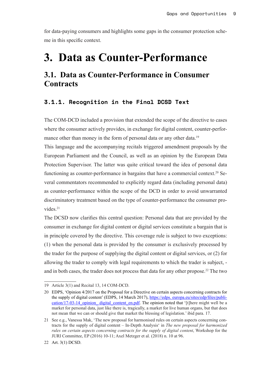<span id="page-8-0"></span>for data-paying consumers and highlights some gaps in the consumer protection scheme in this specific context.

## **3. Data as Counter-Performance**

### **3.1. Data as Counter-Performance in Consumer Contracts**

#### **3.1.1. Recognition in the Final DCSD Text**

The COM-DCD included a provision that extended the scope of the directive to cases where the consumer actively provides, in exchange for digital content, counter-performance other than money in the form of personal data or any other data.<sup>19</sup>

This language and the accompanying recitals triggered amendment proposals by the European Parliament and the Council, as well as an opinion by the European Data Protection Supervisor. The latter was quite critical toward the idea of personal data functioning as counter-performance in bargains that have a commercial context.<sup>20</sup> Several commentators recommended to explicitly regard data (including personal data) as counter-performance within the scope of the DCD in order to avoid unwarranted discriminatory treatment based on the type of counter-performance the consumer provides.<sup>21</sup>

The DCSD now clarifies this central question: Personal data that are provided by the consumer in exchange for digital content or digital services constitute a bargain that is in principle covered by the directive. This coverage rule is subject to two exceptions: (1) when the personal data is provided by the consumer is exclusively processed by the trader for the purpose of supplying the digital content or digital services, or (2) for allowing the trader to comply with legal requirements to which the trader is subject, and in both cases, the trader does not process that data for any other propose.<sup>22</sup> The two

<sup>19</sup> Article 3(1) and Recital 13, 14 COM-DCD.

<sup>20</sup> EDPS, 'Opinion 4/2017 on the Proposal for a Directive on certain aspects concerning contracts for the supply of digital content' (EDPS, 14 March 2017), https://edps. europa.eu/sites/edp/files/publication/17-03-14\_opinion\_ digital\_content\_en.pdf. The opinion noted that '[t]here might well be a market for personal data, just like there is, tragically, a market for live human organs, but that does not mean that we can or should give that market the blessing of legislation.' ibid para. 17.

<sup>21</sup> See e.g., Vanessa Mak, 'The new proposal for harmonised rules on certain aspects concerning contracts for the supply of digital content – In-Depth Analysis' in *The new proposal for harmonized rules on certain aspects concerning contracts for the supply of digital content*, Workshop for the JURI Committee, EP (2016) 10-11; Axel Metzger et al. (2018) n. 10 at 96.

<sup>22</sup> Art. 3(1) DCSD.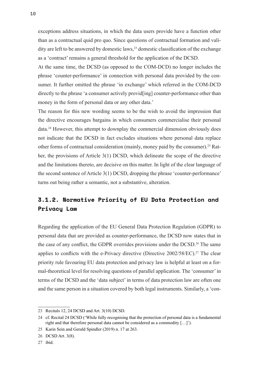<span id="page-9-0"></span>exceptions address situations, in which the data users provide have a function other than as a contractual quid pro quo. Since questions of contractual formation and validity are left to be answered by domestic laws, $^{23}$  domestic classification of the exchange as a 'contract' remains a general threshold for the application of the DCSD.

At the same time, the DCSD (as opposed to the COM-DCD) no longer includes the phrase 'counter-performance' in connection with personal data provided by the consumer. It further omitted the phrase 'in exchange' which referred in the COM-DCD directly to the phrase 'a consumer actively provid[ing] counter-performance other than money in the form of personal data or any other data.'

The reason for this new wording seems to be the wish to avoid the impression that the directive encourages bargains in which consumers commercialise their personal data.24 However, this attempt to downplay the commercial dimension obviously does not indicate that the DCSD in fact excludes situations where personal data replace other forms of contractual consideration (mainly, money paid by the consumer).25 Rather, the provisions of Article 3(1) DCSD, which delineate the scope of the directive and the limitations thereto, are decisive on this matter. In light of the clear language of the second sentence of Article 3(1) DCSD, dropping the phrase 'counter-performance' turns out being rather a semantic, not a substantive, alteration.

### **3.1.2. Normative Priority of EU Data Protection and Privacy Law**

Regarding the application of the EU General Data Protection Regulation (GDPR) to personal data that are provided as counter-performance, the DCSD now states that in the case of any conflict, the GDPR overrides provisions under the DCSD.<sup>26</sup> The same applies to conflicts with the e-Privacy directive (Directive  $2002/58/EC$ ).<sup>27</sup> The clear priority rule favouring EU data protection and privacy law is helpful at least on a formal-theoretical level for resolving questions of parallel application. The 'consumer' in terms of the DCSD and the 'data subject' in terms of data protection law are often one and the same person in a situation covered by both legal instruments. Similarly, a 'con-

<sup>23</sup> Recitals 12, 24 DCSD and Art. 3(10) DCSD.

<sup>24</sup> cf. Recital 24 DCSD ('While fully recognising that the protection of personal data is a fundamental right and that therefore personal data cannot be considered as a commodity […]').

<sup>25</sup> Karin Sein and Gerald Spindler (2019) n. 17 at 263.

<sup>26</sup> DCSD Art. 3(8).

<sup>27</sup> ibid.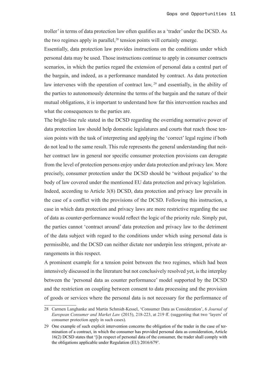troller' in terms of data protection law often qualifies as a 'trader' under the DCSD. As the two regimes apply in parallel, $28$  tension points will certainly emerge.

Essentially, data protection law provides instructions on the conditions under which personal data may be used. Those instructions continue to apply in consumer contracts scenarios, in which the parties regard the extension of personal data a central part of the bargain, and indeed, as a performance mandated by contract. As data protection law intervenes with the operation of contract law, <sup>29</sup> and essentially, in the ability of the parties to autonomously determine the terms of the bargain and the nature of their mutual obligations, it is important to understand how far this intervention reaches and what the consequences to the parties are.

The bright-line rule stated in the DCSD regarding the overriding normative power of data protection law should help domestic legislatures and courts that reach those tension points with the task of interpreting and applying the 'correct' legal regime if both do not lead to the same result. This rule represents the general understanding that neither contract law in general nor specific consumer protection provisions can derogate from the level of protection persons enjoy under data protection and privacy law. More precisely, consumer protection under the DCSD should be 'without prejudice' to the body of law covered under the mentioned EU data protection and privacy legislation. Indeed, according to Article 3(8) DCSD, data protection and privacy law prevails in the case of a conflict with the provisions of the DCSD. Following this instruction, a case in which data protection and privacy laws are more restrictive regarding the use of data as counter-performance would reflect the logic of the priority rule. Simply put, the parties cannot 'contract around' data protection and privacy law to the detriment of the data subject with regard to the conditions under which using personal data is permissible, and the DCSD can neither dictate nor underpin less stringent, private arrangements in this respect.

A prominent example for a tension point between the two regimes, which had been intensively discussed in the literature but not conclusively resolved yet, is the interplay between the 'personal data as counter performance' model supported by the DCSD and the restriction on coupling between consent to data processing and the provision of goods or services where the personal data is not necessary for the performance of

<sup>28</sup> Carmen Langhanke and Martin Schmidt-Kessel, 'Consumer Data as Consideration', 6 *Journal of European Consumer and Market Law* (2015), 218-223, at 219 ff. (suggesting that two 'layers' of consumer protection apply in such cases).

<sup>29</sup> One example of such explicit intervention concerns the obligation of the trader in the case of termination of a contract, in which the consumer has provided personal data as consideration, Article 16(2) DCSD states that '[i]n respect of personal data of the consumer, the trader shall comply with the obligations applicable under Regulation (EU) 2016/679'.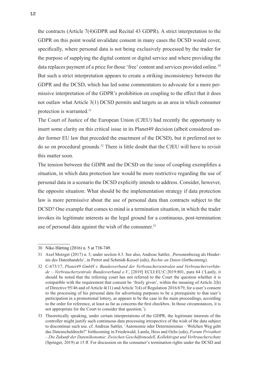the contracts (Article 7(4)GDPR and Recital 43 GDPR). A strict interpretation to the GDPR on this point would invalidate consent in many cases the DCSD would cover, specifically, where personal data is not being exclusively processed by the trader for the purpose of supplying the digital content or digital service and where providing the data replaces payment of a price for those 'free' content and services provided online.<sup>30</sup> But such a strict interpretation appears to create a striking inconsistency between the GDPR and the DCSD, which has led some commentators to advocate for a more permissive interpretation of the GDPR's prohibition on coupling to the effect that it does not outlaw what Article 3(1) DCSD permits and targets as an area in which consumer protection is warranted.31

The Court of Justice of the European Union (CJEU) had recently the opportunity to insert some clarity on this critical issue in its Planet49 decision (albeit considered under former EU law that preceded the enactment of the DCSD), but it preferred not to do so on procedural grounds.32 There is little doubt that the CJEU will have to revisit this matter soon.

The tension between the GDPR and the DCSD on the issue of coupling exemplifies a situation, in which data protection law would be more restrictive regarding the use of personal data in a scenario the DCSD explicitly intends to address. Consider, however, the opposite situation: What should be the implementation strategy if data protection law is more permissive about the use of personal data than contracts subject to the DCSD? One example that comes to mind is a termination situation, in which the trader invokes its legitimate interests as the legal ground for a continuous, post-termination use of personal data against the wish of the consumer.<sup>33</sup>

<sup>30</sup> Niko Härting (2016) n. 5 at 738-749.

<sup>31</sup> Axel Metzger (2017) n. 5, under section 4.3. See also, Andreas Sattler, 'Personenbezug als Hindernis des Datenhandels', in Pertot and Schmidt-Kessel (eds), *Rechte an Daten* (forthcoming).

<sup>32</sup> C-673/17, *Planet49 GmbH v. Bundesverband der Verbraucherzentralen und Verbraucherverbände – Verbraucherzentrale Bundesverband e.V.*, [2019] ECLI:EU:C:2019:801, para 64 ('Lastly, it should be noted that the referring court has not referred to the Court the question whether it is compatible with the requirement that consent be 'freely given', within the meaning of Article 2(h) of Directive 95/46 and of Article 4(11) and Article 7(4) of Regulation 2016/679, for a user's consent to the processing of his personal data for advertising purposes to be a prerequisite to that user's participation in a promotional lottery, as appears to be the case in the main proceedings, according to the order for reference, at least as far as concerns the first checkbox. In those circumstances, it is not appropriate for the Court to consider that question.').

<sup>33</sup> Theoretically speaking, under certain interpretations of the GDPR, the legitimate interests of the controller might justify such continuous data processing irrespective of the wish of the data subject to discontinue such use. cf. Andreas Sattler, 'Autonomie oder Determinismus – Welchen Weg geht das Datenschuldrecht?' forthcoming in Friedewald, Lamla, Hess and Ochs (eds), *Forum Privatheit – Die Zukunft der Datenökonomie: Zwischen Geschäftsmodell, Kollektivgut und Verbraucherschutz* (Springer, 2019) at 15 ff. For discussion on the consumer's termination rights under the DCSD and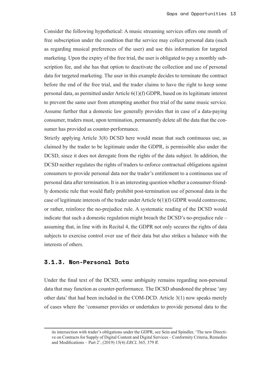<span id="page-12-0"></span>Consider the following hypothetical: A music streaming services offers one month of free subscription under the condition that the service may collect personal data (such as regarding musical preferences of the user) and use this information for targeted marketing. Upon the expiry of the free trial, the user is obligated to pay a monthly subscription fee, and she has that option to deactivate the collection and use of personal data for targeted marketing. The user in this example decides to terminate the contract before the end of the free trial, and the trader claims to have the right to keep some personal data, as permitted under Article 6(1)(f) GDPR, based on its legitimate interest to prevent the same user from attempting another free trial of the same music service. Assume further that a domestic law generally provides that in case of a data-paying consumer, traders must, upon termination, permanently delete all the data that the consumer has provided as counter-performance.

Strictly applying Article 3(8) DCSD here would mean that such continuous use, as claimed by the trader to be legitimate under the GDPR, is permissible also under the DCSD, since it does not derogate from the rights of the data subject. In addition, the DCSD neither regulates the rights of traders to enforce contractual obligations against consumers to provide personal data nor the trader's entitlement to a continuous use of personal data after termination. It is an interesting question whether a consumer-friendly domestic rule that would flatly prohibit post-termination use of personal data in the case of legitimate interests of the trader under Article 6(1)(f) GDPR would contravene, or rather, reinforce the no-prejudice rule. A systematic reading of the DCSD would indicate that such a domestic regulation might breach the DCSD's no-prejudice rule – assuming that, in line with its Recital 4, the GDPR not only secures the rights of data subjects to exercise control over use of their data but also strikes a balance with the interests of others.

#### **3.1.3. Non-Personal Data**

Under the final text of the DCSD, some ambiguity remains regarding non-personal data that may function as counter-performance. The DCSD abandoned the phrase 'any other data' that had been included in the COM-DCD. Article 3(1) now speaks merely of cases where the 'consumer provides or undertakes to provide personal data to the

its intersection with trader's obligations under the GDPR, see Sein and Spindler, 'The new Directive on Contracts for Supply of Digital Content and Digital Services – Conformity Criteria, Remedies and Modifications – Part 2', (2019) 15(4) *ERCL* 365, 379 ff.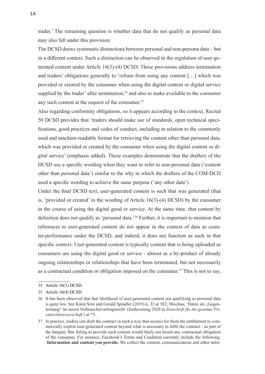trader.' The remaining question is whether data that do not qualify as personal data may also fall under this provision.

The DCSD draws systematic distinctions between personal and non-persona data – but in a different context. Such a distinction can be observed in the regulation of user-generated content under Article 16(3)-(4) DCSD. These provisions address termination and traders' obligations generally to 'refrain from using any content […] which was provided or created by the consumer when using the digital content or digital service supplied by the trader' after termination, $34$  and also to make available to the consumer any such content at the request of the consumer.<sup>35</sup>

Also regarding conformity obligations, so it appears according to the context, Recital 50 DCSD provides that 'traders should make use of standards, open technical specifications, good practices and codes of conduct, including in relation to the commonly used and machine-readable format for retrieving the content other than personal data, which was provided or created by the consumer when using the digital content or digital service' (emphasis added). These examples demonstrate that the drafters of the DCSD use a specific wording when they want to refer to non-personal data ('content other than personal data') similar to the why in which the drafters of the COM-DCD used a specific wording to achieve the same purpose ('any other data').

Under the final DCSD text, user-generated content is such that was generated (that is, 'provided or created' in the wording of Article 16(3)-(4) DCSD) by the consumer in the course of using the digital good or service. At the same time, that content by definition does not qualify as 'personal data.'36 Further, it is important to mention that references to user-generated content do not appear in the context of data as counter-performance under the DCSD, and indeed, it does not function as such in that specific context. User-generated content is typically content that is being uploaded as consumers are using the digital good or service - almost as a by-product of already ongoing relationships or relationships that have been terminated, but not necessarily as a contractual condition or obligation imposed on the consumer.<sup>37</sup> This is not to say,

<sup>34</sup> Article 16(3) DCSD.

<sup>35</sup> Article 16(4) DCSD.

<sup>36</sup> It has been observed that that likelihood of user-generated content not qualifying as personal data is quite low. See Karin Sein and Gerald Spindler (2019) n. 33 at 382; Mischau, 'Daten als "Gegenleistung" im neuen Verbrauchervertragsrecht' (forthcoming 2020 in *Zeitschrift für die gesamte Privatrechtswissenchaft* ) at \*5.

<sup>37</sup> In practice, traders can draft the contract in such a way that secures for them the entitlement to commercially exploit user-generated content beyond what is necessary to fulfil the contract - as part of the bargain. But failing to provide such content would likely not beach any contractual obligation of the consumer. For instance, Facebook's Terms and Condition currently include the following: '**Information and content you provide.** We collect the content, communications and other infor-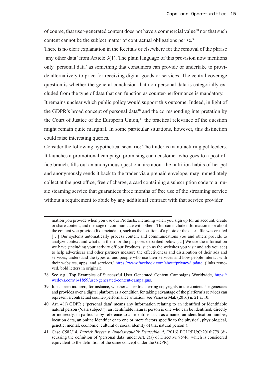of course, that user-generated content does not have a commercial value<sup>38</sup> nor that such content cannot be the subject matter of contractual obligations per se.<sup>39</sup>

There is no clear explanation in the Recitals or elsewhere for the removal of the phrase 'any other data' from Article 3(1). The plain language of this provision now mentions only 'personal data' as something that consumers can provide or undertake to provide alternatively to price for receiving digital goods or services. The central coverage question is whether the general conclusion that non-personal data is categorially excluded from the type of data that can function as counter-performance is mandatory. It remains unclear which public policy would support this outcome. Indeed, in light of the GDPR's broad concept of personal data<sup> $40$ </sup> and the corresponding interpretation by the Court of Justice of the European Union,<sup>41</sup> the practical relevance of the question might remain quite marginal. In some particular situations, however, this distinction could raise interesting queries.

Consider the following hypothetical scenario: The trader is manufacturing pet feeders. It launches a promotional campaign promising each customer who goes to a post office branch, fills out an anonymous questionnaire about the nutrition habits of her pet and anonymously sends it back to the trader via a prepaid envelope, may immediately collect at the post office, free of charge, a card containing a subscription code to a music steaming service that guarantees three months of free use of the streaming service without a requirement to abide by any additional contract with that service provider.

mation you provide when you use our Products, including when you sign up for an account, create or share content, and message or communicate with others. This can include information in or about the content you provide (like metadata), such as the location of a photo or the date a file was created [...] Our systems automatically process content and communications you and others provide to analyze context and what's in them for the purposes described below […] We use the information we have (including your activity off our Products, such as the websites you visit and ads you see) to help advertisers and other partners measure the effectiveness and distribution of their ads and services, understand the types of and people who use their services and how people interact with their websites, apps, and services.' [https://www.facebook.com/about/privacy/update.](https://www.facebook.com/about/privacy/update) (links removed, bold letters in original).

<sup>38</sup> See e.g., Top Examples of Successful User Generated Content Campaigns Worldwide, [https://](https://wedevs.com/141859/user-generated-content-campaigns) [wedevs.com/141859/user-generated-content-campaigns](https://wedevs.com/141859/user-generated-content-campaigns).

<sup>39</sup> It has been inquired, for instance, whether a user transferring copyrights in the content she generates and provides over a digital platform as a condition for taking advantage of the platform's services can represent a contractual counter-performance situation. see Vanessa Mak (2016) n. 21 at 10.

<sup>40</sup> Art. 4(1) GDPR (''personal data' means any information relating to an identified or identifiable natural person ('data subject'); an identifiable natural person is one who can be identified, directly or indirectly, in particular by reference to an identifier such as a name, an identification number, location data, an online identifier or to one or more factors specific to the physical, physiological, genetic, mental, economic, cultural or social identity of that natural person').

<sup>41</sup> Case C582/14, *Patrick Breyer v. Bundesrepublik Deutschland*, [2016] ECLI:EU:C:2016:779 (discussing the definition of 'personal data' under Art. 2(a) of Directive 95/46, which is considered equivalent to the definition of the same concept under the GDPR).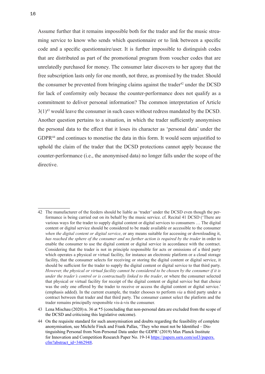Assume further that it remains impossible both for the trader and for the music streaming service to know who sends which questionnaire or to link between a specific code and a specific questionnaire/user. It is further impossible to distinguish codes that are distributed as part of the promotional program from voucher codes that are unrelatedly purchased for money. The consumer later discovers to her agony that the free subscription lasts only for one month, not three, as promised by the trader. Should the consumer be prevented from bringing claims against the trader<sup>42</sup> under the DCSD for lack of conformity only because the counter-performance does not qualify as a commitment to deliver personal information? The common interpretation of Article  $3(1)^{43}$  would leave the consumer in such cases without redress mandated by the DCSD. Another question pertains to a situation, in which the trader sufficiently anonymises the personal data to the effect that it loses its character as 'personal data' under the GDPR<sup>44</sup> and continues to monetise the data in this form. It would seem unjustified to uphold the claim of the trader that the DCSD protections cannot apply because the counter-performance (i.e., the anonymised data) no longer falls under the scope of the directive.

<sup>42</sup> The manufacturer of the feeders should be liable as 'trader' under the DCSD even though the performance is being carried out on its behalf by the music service. cf. Recital 41 DCSD ('There are various ways for the trader to supply digital content or digital services to consumers … The digital content or digital service should be considered to be made available or accessible to the consumer *when the digital content or digital service*, or any means suitable for accessing or downloading it, *has reached the sphere of the consumer and no further action is required by the trader* in order to enable the consumer to use the digital content or digital service in accordance with the contract. Considering that the trader is not in principle responsible for acts or omissions of a third party which operates a physical or virtual facility, for instance an electronic platform or a cloud storage facility, that the consumer selects for receiving or storing the digital content or digital service, it should be sufficient for the trader to supply the digital content or digital service to that third party. *However, the physical or virtual facility cannot be considered to be chosen by the consumer if it is under the trader's control or is contractually linked to the trader*, or where the consumer selected that physical or virtual facility for receipt of the digital content or digital service but that choice was the only one offered by the trader to receive or access the digital content or digital service.' (emphasis added). In the current example, the trader chooses to perform *via* a third party under a contract between that trader and that third party. The consumer cannot select the platform and the trader remains principally responsible vis-à-vis the consumer.

<sup>43</sup> Lena Mischau (2020) n. 36 at \*5 (concluding that non-personal data are excluded from the scope of the DCSD and criticising this legislative outcome).

<sup>44</sup> On the requisite standard for such anonymisation and doubts regarding the feasibility of complete anonymisation, see Michèle Finck and Frank Pallas, 'They who must not be Identified – Distinguishing Personal from Non-Personal Data under the GDPR' (2019) Max Planck Institute for Innovation and Competition Research Paper No. 19-14 [https://papers.ssrn.com/sol3/papers.](https://papers.ssrn.com/sol3/papers.cfm?abstract_id=3462948) [cfm?abstract\\_id=3462948](https://papers.ssrn.com/sol3/papers.cfm?abstract_id=3462948).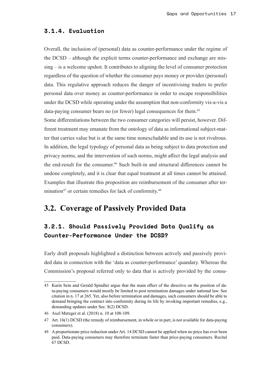#### <span id="page-16-0"></span>**3.1.4. Evaluation**

Overall, the inclusion of (personal) data as counter-performance under the regime of the DCSD – although the explicit terms counter-performance and exchange are missing – is a welcome upshot. It contributes to aligning the level of consumer protection regardless of the question of whether the consumer pays money or provides (personal) data. This regulative approach reduces the danger of incentivising traders to prefer personal data over money as counter-performance in order to escape responsibilities under the DCSD while operating under the assumption that non-conformity vis-a-vis a data-paying consumer bears no (or fewer) legal consequences for them.<sup>45</sup>

Some differentiations between the two consumer categories will persist, however. Different treatment may emanate from the ontology of data as informational subject-matter that carries value but is at the same time nonexcludable and its use is not rivalrous. In addition, the legal typology of personal data as being subject to data protection and privacy norms, and the intervention of such norms, might affect the legal analysis and the end-result for the consumer.<sup>46</sup> Such built-in and structural differences cannot be undone completely, and it is clear that equal treatment at all times cannot be attained. Examples that illustrate this proposition are reimbursement of the consumer after termination $47$  or certain remedies for lack of conformity. $48$ 

### **3.2. Coverage of Passively Provided Data**

### **3.2.1. Should Passively Provided Data Qualify as Counter-Performance Under the DCSD?**

Early draft proposals highlighted a distinction between actively and passively provided data in connection with the 'data as counter-performance' quandary. Whereas the Commission's proposal referred only to data that is actively provided by the consu-

<sup>45</sup> Karin Sein and Gerald Spindler argue that the main effect of the directive on the position of data-paying consumers would mostly be limited to post termination damages under national law. See citation in n. 17 at 265. Yet, also before termination and damages, such consumers should be able to demand bringing the contract into conformity during its life by invoking important remedies, e.g., demanding updates under Sec. 8(2) DCSD.

<sup>46</sup> Axel Metzger et al. (2018) n. 10 at 108-109.

<sup>47</sup> Art. 16(1) DCSD (the remedy of reimbursement, in whole or in part, is not available for data-paying consumers).

<sup>48</sup> A proportionate price reduction under Art. 14 DCSD cannot be applied when no price has ever been paid. Data-paying consumers may therefore terminate faster than price-paying consumers. Recital 67 DCSD.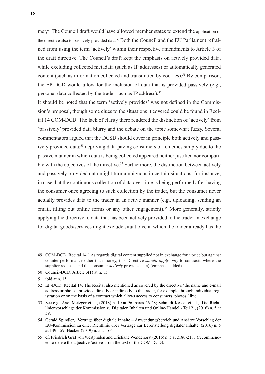mer,<sup>49</sup> The Council draft would have allowed member states to extend the application of the directive also to passively provided data.<sup>50</sup> Both the Council and the EU Parliament refrained from using the term 'actively' within their respective amendments to Article 3 of the draft directive. The Council's draft kept the emphasis on actively provided data, while excluding collected metadata (such as IP addresses) or automatically generated content (such as information collected and transmitted by cookies).<sup>51</sup> By comparison, the EP-DCD would allow for the inclusion of data that is provided passively (e.g., personal data collected by the trader such as IP address).<sup>52</sup>

It should be noted that the term 'actively provides' was not defined in the Commission's proposal, though some clues to the situations it covered could be found in Recital 14 COM-DCD. The lack of clarity there rendered the distinction of 'actively' from 'passively' provided data blurry and the debate on the topic somewhat fuzzy. Several commentators argued that the DCSD should cover in principle both actively and passively provided data;<sup>53</sup> depriving data-paying consumers of remedies simply due to the passive manner in which data is being collected appeared neither justified nor compatible with the objectives of the directive.<sup>54</sup> Furthermore, the distinction between actively and passively provided data might turn ambiguous in certain situations, for instance, in case that the continuous collection of data over time is being performed after having the consumer once agreeing to such collection by the trader, but the consumer never actually provides data to the trader in an active manner (e.g., uploading, sending an email, filling out online forms or any other engagement).<sup>55</sup> More generally, strictly applying the directive to data that has been actively provided to the trader in exchange for digital goods/services might exclude situations, in which the trader already has the

<sup>49</sup> COM-DCD, Recital 14 ('As regards digital content supplied not in exchange for a price but against counter-performance other than money, this Directive *should apply only* to contracts where the supplier requests and the consumer *actively* provides data) (emphasis added).

<sup>50</sup> Council-DCD, Article 3(1) at n. 15.

<sup>51</sup> ibid at n. 15.

<sup>52</sup> EP-DCD, Recital 14. The Recital also mentioned as covered by the directive 'the name and e-mail address or photos, provided directly or indirectly to the trader, for example through individual registration or on the basis of a contract which allows access to consumers' photos.' ibid.

<sup>53</sup> See e.g., Axel Metzger et al., (2018) n. 10 at 96, paras 26-28; Schmidt-Kessel et. al., 'Die Richtlinienvorschläge der Kommission zu Digitalen Inhalten und Online-Handel - Teil 2', (2016) n. 5 at 59.

<sup>54</sup> Gerald Spindler, 'Verträge über digitale Inhalte – Anwendungsbereich und Ansätze Vorschlag der EU-Kommission zu einer Richtlinie über Verträge zur Bereitstellung digitaler Inhalte' (2016) n. 5 at 149-159; Hacker (2019) n. 5 at 166.

<sup>55</sup> cf. Friedrich Graf von Westphalen and Cristiane Wendehorst (2016) n. 5 at 2180-2181 (recommended to delete the adjective 'active' from the text of the COM-DCD).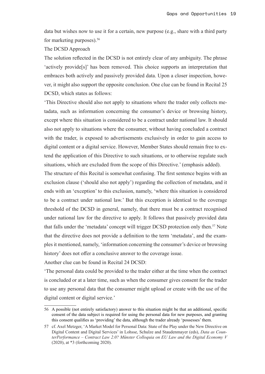data but wishes now to use it for a certain, new purpose (e.g., share with a third party for marketing purposes).56

#### The DCSD Approach

The solution reflected in the DCSD is not entirely clear of any ambiguity. The phrase 'actively provide[s]' has been removed. This choice supports an interpretation that embraces both actively and passively provided data. Upon a closer inspection, however, it might also support the opposite conclusion. One clue can be found in Recital 25 DCSD, which states as follows:

'This Directive should also not apply to situations where the trader only collects metadata, such as information concerning the consumer's device or browsing history, except where this situation is considered to be a contract under national law. It should also not apply to situations where the consumer, without having concluded a contract with the trader, is exposed to advertisements exclusively in order to gain access to digital content or a digital service. However, Member States should remain free to extend the application of this Directive to such situations, or to otherwise regulate such situations, which are excluded from the scope of this Directive.' (emphasis added).

The structure of this Recital is somewhat confusing. The first sentence begins with an exclusion clause ('should also not apply') regarding the collection of metadata, and it ends with an 'exception' to this exclusion, namely, 'where this situation is considered to be a contract under national law.' But this exception is identical to the coverage threshold of the DCSD in general, namely, that there must be a contract recognised under national law for the directive to apply. It follows that passively provided data that falls under the 'metadata' concept will trigger DCSD protection only then.57 Note that the directive does not provide a definition to the term 'metadata', and the examples it mentioned, namely, 'information concerning the consumer's device or browsing history' does not offer a conclusive answer to the coverage issue.

Another clue can be found in Recital 24 DCSD:

'The personal data could be provided to the trader either at the time when the contract is concluded or at a later time, such as when the consumer gives consent for the trader to use any personal data that the consumer might upload or create with the use of the digital content or digital service.'

<sup>56</sup> A possible (not entirely satisfactory) answer to this situation might be that an additional, specific consent of the data subject is required for using the personal data for new purposes, and granting this consent qualifies as 'providing' the data, although the trader already 'possesses' them.

<sup>57</sup> cf. Axel Metzger, 'A Market Model for Personal Data: State of the Play under the New Directive on Digital Content and Digital Services' in Lohsse, Schulze and Staudenmayer (eds), *Data as CounterPerformance – Contract Law 2.0? Münster Colloquia on EU Law and the Digital Economy V* (2020), at \*3 (forthcoming 2020).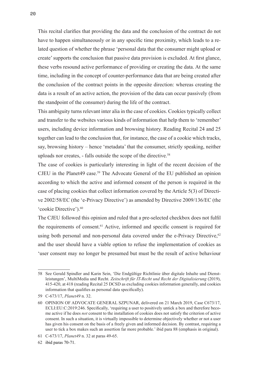This recital clarifies that providing the data and the conclusion of the contract do not have to happen simultaneously or in any specific time proximity, which leads to a related question of whether the phrase 'personal data that the consumer might upload or create' supports the conclusion that passive data provision is excluded. At first glance, these verbs resound active performance of providing or creating the data. At the same time, including in the concept of counter-performance data that are being created after the conclusion of the contract points in the opposite direction: whereas creating the data is a result of an active action, the provision of the data can occur passively (from the standpoint of the consumer) during the life of the contract.

This ambiguity turns relevant inter alia in the case of cookies. Cookies typically collect and transfer to the websites various kinds of information that help them to 'remember' users, including device information and browsing history. Reading Recital 24 and 25 together can lead to the conclusion that, for instance, the case of a cookie which tracks, say, browsing history – hence 'metadata' that the consumer, strictly speaking, neither uploads nor creates, - falls outside the scope of the directive.<sup>58</sup>

The case of cookies is particularly interesting in light of the recent decision of the CJEU in the Planet49 case.59 The Advocate General of the EU published an opinion according to which the active and informed consent of the person is required in the case of placing cookies that collect information covered by the Article 5(3) of Directive 2002/58/EC (the 'e-Privacy Directive') as amended by Directive 2009/136/EC (the 'cookie Directive').<sup>60</sup>

The CJEU followed this opinion and ruled that a pre-selected checkbox does not fulfil the requirements of consent.61 Active, informed and specific consent is required for using both personal and non-personal data covered under the e-Privacy Directive,  $62$ and the user should have a viable option to refuse the implementation of cookies as 'user consent may no longer be presumed but must be the result of active behaviour

<sup>58</sup> See Gerald Spindler and Karin Sein, 'Die Endgültige Richtlinie über digitale Inhalte und Dienstleistungen', MultiMedia und Recht. *Zeitschrift für IT-Recht und Recht der Digitalisierung* (2019), 415-420, at 418 (reading Recital 25 DCSD as excluding cookies information generally, and cookies information that qualifies as personal data specifically).

<sup>59</sup> C-673/17, *Planet49* n. 32.

<sup>60</sup> OPINION OF ADVOCATE GENERAL SZPUNAR, delivered on 21 March 2019, Case C673/17, ECLI:EU:C:2019:246. Specifically, 'requiring a user to positively untick a box and therefore become active if he does *not* consent to the installation of cookies does not satisfy the criterion of active consent. In such a situation, it is virtually impossible to determine objectively whether or not a user has given his consent on the basis of a freely given and informed decision. By contrast, requiring a user to tick a box makes such an assertion far more probable.' ibid para 88 (emphasis in original).

<sup>61</sup> C-673/17, *Planet49* n. 32 at paras 49-65.

<sup>62</sup> ibid paras 70-71.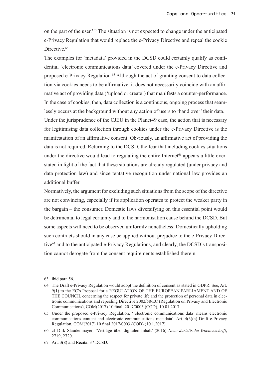on the part of the user.'63 The situation is not expected to change under the anticipated e-Privacy Regulation that would replace the e-Privacy Directive and repeal the cookie Directive.<sup>64</sup>

The examples for 'metadata' provided in the DCSD could certainly qualify as confidential 'electronic communications data' covered under the e-Privacy Directive and proposed e-Privacy Regulation.<sup>65</sup> Although the act of granting consent to data collection via cookies needs to be affirmative, it does not necessarily coincide with an affirmative act of providing data ('upload or create') that manifests a counter-performance. In the case of cookies, then, data collection is a continuous, ongoing process that seamlessly occurs at the background without any action of users to 'hand over' their data. Under the jurisprudence of the CJEU in the Planet49 case, the action that is necessary for legitimising data collection through cookies under the e-Privacy Directive is the manifestation of an affirmative consent. Obviously, an affirmative act of providing the data is not required. Returning to the DCSD, the fear that including cookies situations under the directive would lead to regulating the entire Internet<sup> $66$ </sup> appears a little overstated in light of the fact that these situations are already regulated (under privacy and data protection law) and since tentative recognition under national law provides an additional buffer.

Normatively, the argument for excluding such situations from the scope of the directive are not convincing, especially if its application operates to protect the weaker party in the bargain – the consumer. Domestic laws diversifying on this essential point would be detrimental to legal certainty and to the harmonisation cause behind the DCSD. But some aspects will need to be observed uniformly nonetheless: Domestically upholding such contracts should in any case be applied without prejudice to the e-Privacy Directive<sup>67</sup> and to the anticipated e-Privacy Regulations, and clearly, the DCSD's transposition cannot derogate from the consent requirements established therein.

<sup>63</sup> ibid para 56.

<sup>64</sup> The Draft e-Privacy Regulation would adopt the definition of consent as stated in GDPR. See, Art. 9(1) to the EC's Proposal for a REGULATION OF THE EUROPEAN PARLIAMENT AND OF THE COUNCIL concerning the respect for private life and the protection of personal data in electronic communications and repealing Directive 2002/58/EC (Regulation on Privacy and Electronic Communications), COM(2017) 10 final, 2017/0003 (COD), 10.01.2017.

<sup>65</sup> Under the proposed e-Privacy Regulation, ''electronic communications data' means electronic communications content and electronic communications metadata'. Art. 4(3)(a) Draft e-Privacy Regulation, COM(2017) 10 final 2017/0003 (COD) (10.1.2017).

<sup>66</sup> cf Dirk Staudenmayer, 'Verträge über digitalen Inhalt' (2016) *Neue Juristische Wochenschrift*, 2719, 2720.

<sup>67</sup> Art. 3(8) and Recital 37 DCSD.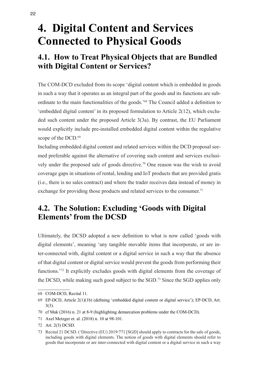## <span id="page-21-0"></span>**4. Digital Content and Services Connected to Physical Goods**

## **4.1. How to Treat Physical Objects that are Bundled with Digital Content or Services?**

The COM-DCD excluded from its scope 'digital content which is embedded in goods in such a way that it operates as an integral part of the goods and its functions are subordinate to the main functionalities of the goods.'68 The Council added a definition to 'embedded digital content' in its proposed formulation to Article 2(12), which excluded such content under the proposed Article 3(3a). By contrast, the EU Parliament would explicitly include pre-installed embedded digital content within the regulative scope of the DCD.<sup>69</sup>

Including embedded digital content and related services within the DCD proposal seemed preferable against the alternative of covering such content and services exclusively under the proposed sale of goods directive.<sup>70</sup> One reason was the wish to avoid coverage gaps in situations of rental, lending and IoT products that are provided gratis (i.e., there is no sales contract) and where the trader receives data instead of money in exchange for providing those products and related services to the consumer.<sup>71</sup>

### **4.2. The Solution: Excluding 'Goods with Digital Elements' from the DCSD**

Ultimately, the DCSD adopted a new definition to what is now called 'goods with digital elements', meaning 'any tangible movable items that incorporate, or are inter-connected with, digital content or a digital service in such a way that the absence of that digital content or digital service would prevent the goods from performing their functions.'72 It explicitly excludes goods with digital elements from the coverage of the DCSD, while making such good subject to the SGD.73 Since the SGD applies only

71 Axel Metzger et. al. (2018) n. 10 at 98-101.

<sup>68</sup> COM-DCD, Recital 11.

<sup>69</sup> EP-DCD, Article 2(1)(1b) (defining 'embedded digital content or digital service'); EP-DCD, Art. 3(3).

<sup>70</sup> cf Mak (2016) n. 21 at 8-9 (highlighting demarcation problems under the COM-DCD).

<sup>72</sup> Art. 2(3) DCSD.

<sup>73</sup> Recital 21 DCSD. ('Directive (EU) 2019/771 [SGD] should apply to contracts for the sale of goods, including goods with digital elements. The notion of goods with digital elements should refer to goods that incorporate or are inter-connected with digital content or a digital service in such a way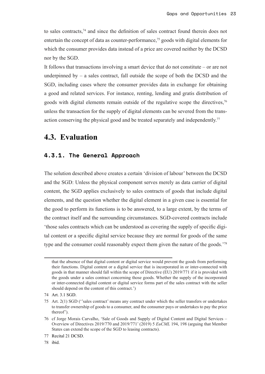<span id="page-22-0"></span>to sales contracts,74 and since the definition of sales contract found therein does not entertain the concept of data as counter-performance,<sup>75</sup> goods with digital elements for which the consumer provides data instead of a price are covered neither by the DCSD nor by the SGD.

It follows that transactions involving a smart device that do not constitute – or are not underpinned by  $-$  a sales contract, fall outside the scope of both the DCSD and the SGD, including cases where the consumer provides data in exchange for obtaining a good and related services. For instance, renting, lending and gratis distribution of goods with digital elements remain outside of the regulative scope the directives,<sup>76</sup> unless the transaction for the supply of digital elements can be severed from the transaction conserving the physical good and be treated separately and independently.<sup>77</sup>

### **4.3. Evaluation**

#### **4.3.1. The General Approach**

The solution described above creates a certain 'division of labour' between the DCSD and the SGD: Unless the physical component serves merely as data carrier of digital content, the SGD applies exclusively to sales contracts of goods that include digital elements, and the question whether the digital element in a given case is essential for the good to perform its functions is to be answered, to a large extent, by the terms of the contract itself and the surrounding circumstances. SGD-covered contracts include 'those sales contracts which can be understood as covering the supply of specific digital content or a specific digital service because they are normal for goods of the same type and the consumer could reasonably expect them given the nature of the goods.'<sup>78</sup>

78 ibid.

that the absence of that digital content or digital service would prevent the goods from performing their functions. Digital content or a digital service that is incorporated in or inter-connected with goods in that manner should fall within the scope of Directive (EU) 2019/771 if it is provided with the goods under a sales contract concerning those goods. Whether the supply of the incorporated or inter-connected digital content or digital service forms part of the sales contract with the seller should depend on the content of this contract.')

<sup>74</sup> Art. 3.1 SGD.

<sup>75</sup> Art. 2(1) SGD (''sales contract' means any contract under which the seller transfers or undertakes to transfer ownership of goods to a consumer, and the consumer pays or undertakes to pay the price thereof').

<sup>76</sup> cf Jorge Morais Carvalho, 'Sale of Goods and Supply of Digital Content and Digital Services – Overview of Directives 2019/770 and 2019/771' (2019) 5 *EuCML* 194, 198 (arguing that Member States can extend the scope of the SGD to leasing contracts).

<sup>77</sup> Recital 21 DCSD.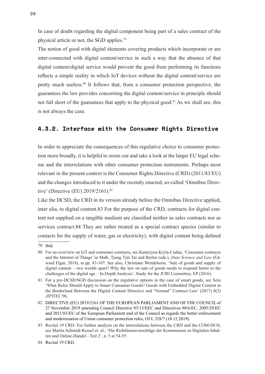<span id="page-23-0"></span>In case of doubt regarding the digital component being part of a sales contract of the physical article or not, the SGD applies.79

The notion of good with digital elements covering products which incorporate or are inter-connected with digital content/service in such a way that the absence of that digital content/digital service would prevent the good from performing its functions reflects a simple reality in which IoT devices without the digital content/service are pretty much useless.<sup>80</sup> It follows that, from a consumer protection perspective, the guarantees the law provides concerning the digital content/service in principle should not fall short of the guarantees that apply to the physical good.<sup>81</sup> As we shall see, this is not always the case.

#### **4.3.2. Interface with the Consumer Rights Directive**

In order to appreciate the consequences of this regulative choice to consumer protection more broadly, it is helpful to zoom out and take a look at the larger EU legal scheme and the interrelations with other consumer protection instruments. Perhaps most relevant in the present context is the Consumer Rights Directive (CRD) (2011/83/EU) and the changes introduced to it under the recently enacted, so-called 'Omnibus Directive' (Directive (EU) 2019/2161).<sup>82</sup>

Like the DCSD, the CRD in its version already before the Omnibus Directive applied, inter alia, to digital content.83 For the purpose of the CRD, contracts for digital content not supplied on a tangible medium are classified neither as sales contracts nor as services contract.84 They are rather treated as a special contract species (similar to contacts for the supply of water, gas or electricity), with digital content being defined

<sup>79</sup> ibid.

<sup>80</sup> For an overview on IoT and consumer contracts, see Katarzyna Kryla-Cudna, 'Consumer contracts and the Internet of Things' in MaK, Tjong Tjin Tai and Berlee (eds.), *Data Science and Law* (Edward Elgar, 2018), at pp. 83-107. See also, Christiane Wendehorst, 'Sale of goods and supply of digital content – two worlds apart? Why the law on sale of goods needs to respond better to the challenges of the digital age – In-Depth Analysis', Study for the JURI Committee, EP (2016).

<sup>81</sup> For a pre-DCSD/SGD discussion on the regulative options in the case of smart goods, see Sein 'What Rules Should Apply to Smart Consumer Goods? Goods with Embedded Digital Content in the Borderland Between the Digital Content Directive and "Normal" Contract Law' (2017) 8(2) *JIPITEC* 96.

<sup>82</sup> DIRECTIVE (EU) 2019/2161 OF THE EUROPEAN PARLIAMENT AND OF THE COUNCIL of 27 November 2019 amending Council Directive 93/13/EEC and Directives 98/6/EC, 2005/29/EC and 2011/83/EU of the European Parliament and of the Council as regards the better enforcement and modernisation of Union consumer protection rules, OJ L 328/7 (18.12.2019).

<sup>83</sup> Recital 19 CRD. For further analysis on the interrelations between the CRD and the COM-DCD, see Martin Schmidt-Kessel et. al., 'Die Richtlinienvorschläge der Kommission zu Digitalen Inhalten und Online-Handel - Teil 2', n. 5 at 54-55.

<sup>84</sup> Recital 19 CRD.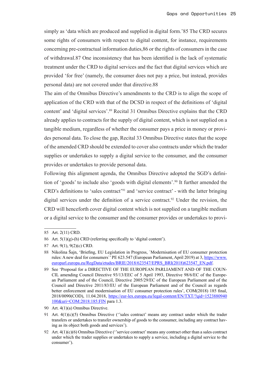simply as 'data which are produced and supplied in digital form.'85 The CRD secures some rights of consumers with respect to digital content, for instance, requirements concerning pre-contractual information duties,86 or the rights of consumers in the case of withdrawal.87 One inconsistency that has been identified is the lack of systematic treatment under the CRD to digital services and the fact that digital services which are provided 'for free' (namely, the consumer does not pay a price, but instead, provides personal data) are not covered under that directive.88

The aim of the Omnibus Directive's amendments to the CRD is to align the scope of application of the CRD with that of the DCSD in respect of the definitions of 'digital content' and 'digital services'.<sup>89</sup> Recital 31 Omnibus Directive explains that the CRD already applies to contracts for the supply of digital content, which is not supplied on a tangible medium, regardless of whether the consumer pays a price in money or provides personal data. To close the gap, Recital 33 Omnibus Directive states that the scope of the amended CRD should be extended to cover also contracts under which the trader supplies or undertakes to supply a digital service to the consumer, and the consumer provides or undertakes to provide personal data.

Following this alignment agenda, the Omnibus Directive adopted the SGD's definition of 'goods' to include also 'goods with digital elements'.<sup>90</sup> It further amended the CRD's definitions to 'sales contract'<sup>91</sup> and 'service contract' - with the latter bringing digital services under the definition of a service contract.<sup>92</sup> Under the revision, the CRD will henceforth cover digital content which is not supplied on a tangible medium or a digital service to the consumer and the consumer provides or undertakes to provi-

<sup>85</sup> Art. 2(11) CRD.

<sup>86</sup> Art.  $5(1)(g)$ -(h) CRD (referring specifically to 'digital content').

<sup>87</sup> Art. 9(1), 9(2)(c) CRD.

<sup>88</sup> Nikolina Šajn, 'Briefing, EU Legislation in Progress, `Modernisation of EU consumer protection rules: A new deal for consumers' PE 623.547 (European Parliament, April 2019) at 3, [https://www.](https://www.europarl.europa.eu/RegData/etudes/BRIE/2018/623547/EPRS_BRI(2018)623547_EN.pdf) [europarl.europa.eu/RegData/etudes/BRIE/2018/623547/EPRS\\_BRI\(2018\)623547\\_EN.pdf](https://www.europarl.europa.eu/RegData/etudes/BRIE/2018/623547/EPRS_BRI(2018)623547_EN.pdf).

<sup>89</sup> See 'Proposal for a DIRECTIVE OF THE EUROPEAN PARLIAMENT AND OF THE COUN-CIL amending Council Directive 93/13/EEC of 5 April 1993, Directive 98/6/EC of the European Parliament and of the Council, Directive 2005/29/EC of the European Parliament and of the Council and Directive 2011/83/EU of the European Parliament and of the Council as regards better enforcement and modernisation of EU consumer protection rules', COM(2018) 185 final, 2018/0090(COD), 11.04.2018, [https://eur-lex.europa.eu/legal-content/EN/TXT/?qid=1523880940](https://eur-lex.europa.eu/legal-content/EN/TXT/?qid=1523880940100&uri=COM:2018:185:FIN) [100&uri=COM:2018:185:FIN](https://eur-lex.europa.eu/legal-content/EN/TXT/?qid=1523880940100&uri=COM:2018:185:FIN) para 1.3.

<sup>90</sup> Art. 4(1)(a) Omnibus Directive.

<sup>91</sup> Art. 4(1)(c)(5) Omnibus Directive ("sales contract" means any contract under which the trader transfers or undertakes to transfer ownership of goods to the consumer, including any contract having as its object both goods and services').

<sup>92</sup> Art.  $4(1)(c)(6)$  Omnibus Directive ("service contract" means any contract other than a sales contract under which the trader supplies or undertakes to supply a service, including a digital service to the consumer').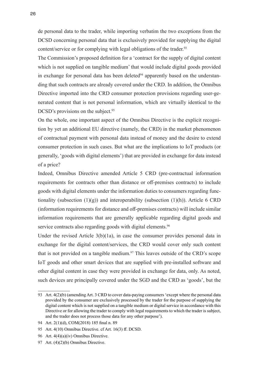de personal data to the trader, while importing verbatim the two exceptions from the DCSD concerning personal data that is exclusively provided for supplying the digital content/service or for complying with legal obligations of the trader.<sup>93</sup>

The Commission's proposed definition for a 'contract for the supply of digital content which is not supplied on tangible medium' that would include digital goods provided in exchange for personal data has been deleted $94$  apparently based on the understanding that such contracts are already covered under the CRD. In addition, the Omnibus Directive imported into the CRD consumer protection provisions regarding user-generated content that is not personal information, which are virtually identical to the DCSD's provisions on the subject.<sup>95</sup>

On the whole, one important aspect of the Omnibus Directive is the explicit recognition by yet an additional EU directive (namely, the CRD) in the market phenomenon of contractual payment with personal data instead of money and the desire to extend consumer protection in such cases. But what are the implications to IoT products (or generally, 'goods with digital elements') that are provided in exchange for data instead of a price?

Indeed, Omnibus Directive amended Article 5 CRD (pre-contractual information requirements for contracts other than distance or off-premises contracts) to include goods with digital elements under the information duties to consumers regarding functionality (subsection  $(1)(g)$ ) and interoperability (subsection  $(1)(h)$ ). Article 6 CRD (information requirements for distance and off-premises contracts) will include similar information requirements that are generally applicable regarding digital goods and service contracts also regarding goods with digital elements.<sup>96</sup>

Under the revised Article  $3(b)(1a)$ , in case the consumer provides personal data in exchange for the digital content/services, the CRD would cover only such content that is not provided on a tangible medium.<sup>97</sup> This leaves outside of the CRD's scope IoT goods and other smart devices that are supplied with pre-installed software and other digital content in case they were provided in exchange for data, only. As noted, such devices are principally covered under the SGD and the CRD as 'goods', but the

<sup>93</sup> Art. 4(2)(b) (amending Art. 3 CRD to cover data-paying consumers 'except where the personal data provided by the consumer are exclusively processed by the trader for the purpose of supplying the digital content which is not supplied on a tangible medium or digital service in accordance with this Directive or for allowing the trader to comply with legal requirements to which the trader is subject, and the trader does not process those data for any other purpose').

<sup>94</sup> Art. 2(1)(d), COM(2018) 185 final n. 89

<sup>95</sup> Art. 4(10) Omnibus Directive. cf Art. 16(3) ff. DCSD.

<sup>96</sup> Art. 4(4)(a)(iv) Omnibus Directive.

<sup>97</sup> Art. (4)(2)(b) Omnibus Directive.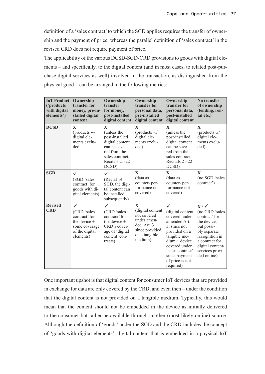definition of a 'sales contract' to which the SGD applies requires the transfer of ownership and the payment of price, whereas the parallel definition of 'sales contract' in the revised CRD does not require payment of price.

The applicability of the various DCSD-SGD-CRD provisions to goods with digital elements – and specifically, to the digital content (and in most cases, to related post-purchase digital services as well) involved in the transaction, as distinguished from the physical good – can be arranged in the following metrics:

| <b>IoT</b> Product<br>('products<br>with digital<br>elements') | Ownership<br>transfer for<br>money, pre-in-<br>stalled digital<br>content                                      | Ownership<br>transfer<br>for money,<br>post-installed<br>digital content                                                            | Ownership<br>transfer for<br>personal data,<br>pre-installed<br>digital content                                            | Ownership<br>transfer for<br>personal data,<br>post-installed<br>digital content                                                                                                                            | No transfer<br>of ownership<br>(lending, ren-<br>tal etc.)                                                                                                                             |
|----------------------------------------------------------------|----------------------------------------------------------------------------------------------------------------|-------------------------------------------------------------------------------------------------------------------------------------|----------------------------------------------------------------------------------------------------------------------------|-------------------------------------------------------------------------------------------------------------------------------------------------------------------------------------------------------------|----------------------------------------------------------------------------------------------------------------------------------------------------------------------------------------|
| <b>DCSD</b>                                                    | X<br>(products w/<br>digital ele-<br>ments exclu-<br>ded                                                       | X<br>(unless the<br>post-installed<br>digital content<br>can be seve-<br>red from the<br>sales contract,<br>Recitals 21-22<br>DCSD) | $\mathbf{X}$<br>(products w/<br>digital ele-<br>ments exclu-<br>ded)                                                       | $\mathbf{X}$<br>(unless the<br>post-installed<br>digital content<br>can be seve-<br>red from the<br>sales contract,<br>Recitals 21-22<br>DCSD)                                                              | $\mathbf{x}$<br>(products w/<br>digital ele-<br>ments exclu-<br>ded)                                                                                                                   |
| <b>SGD</b>                                                     | (SGD 'sales<br>contract' for<br>goods with di-<br>gital elements)                                              | (Recial 14<br>SGD, the digi-<br>tal content can<br>be installed<br>subsequently)                                                    | X<br>(data as<br>counter-per-<br>formance not<br>covered)                                                                  | $\mathbf{X}$<br>(data as<br>counter-per-<br>formance not<br>covered)                                                                                                                                        | $\mathbf{X}$<br>(no SGD 'sales<br>contract')                                                                                                                                           |
| <b>Revised</b><br><b>CRD</b>                                   | $\checkmark$<br>(CRD 'sales<br>contract' for<br>the device $+$<br>some coverage<br>of the digital<br>elements) | (CRD 'sales<br>contract' for<br>the device $+$<br>CRD's cover-<br>age of 'digital<br>content' con-<br>tracts)                       | $\mathbf{X}$<br>(digital content<br>not covered<br>under amen-<br>ded Art. 3<br>since provided<br>on a tangible<br>medium) | (digital content<br>covered under<br>amended Art.<br>3, since not<br>provided on a<br>tangible me-<br>$dium + device$<br>covered under<br>'sales contract'<br>since payment<br>of price is not<br>required) | $X/\sqrt{ }$<br>(no CRD 'sales<br>contract' for<br>the device,<br>but possi-<br>bly separate<br>recognition in<br>a contract for<br>digital content/<br>services provi-<br>ded online) |

One important upshot is that digital content for consumer IoT devices that are provided in exchange for data are only covered by the CRD, and even then – under the condition that the digital content is not provided on a tangible medium. Typically, this would mean that the content should not be embedded in the device as initially delivered to the consumer but rather be available through another (most likely online) source. Although the definition of 'goods' under the SGD and the CRD includes the concept of 'goods with digital elements', digital content that is embedded in a physical IoT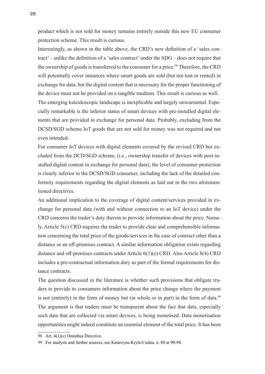product which is not sold for money remains entirely outside this new EU consumer protection scheme. This result is curious.

Interestingly, as shown in the table above, the CRD's new definition of a 'sales contract' – unlike the definition of a 'sales contract' under the SDG – does not require that the ownership of goods is transferred to the consumer for a price.<sup>98</sup> Therefore, the CRD will potentially cover instances where smart goods are sold (but not lent or rented) in exchange for data, but the digital content that is necessary for the proper functioning of the device must not be provided on a tangible medium. This result is curious as well. The emerging kaleidoscopic landscape is inexplicable and largely unwarranted. Especially remarkable is the inferior status of smart devices with pre-installed digital elements that are provided in exchange for personal data. Probably, excluding from the DCSD/SGD scheme IoT goods that are not sold for money was not required and not even intended.

For consumer IoT devices with digital elements covered by the revised CRD but excluded from the DCD/SGD scheme, (i.e., ownership transfer of devices with post-installed digital content in exchange for personal data), the level of consumer protection is clearly inferior to the DCSD/SGD consumer, including the lack of the detailed conformity requirements regarding the digital elements as laid out in the two aforementioned directives.

An additional implication to the coverage of digital content/services provided in exchange for personal data (with and without connection to an IoT device) under the CRD concerns the trader's duty therein to provide information about the price. Namely, Article 5(c) CRD requires the trader to provide clear and comprehensible information concerning the total price of the goods/services in the case of contract other than a distance or an off-premises contract. A similar information obligation exists regarding distance and off-premises contracts under Article 6(1)(e) CRD. Also Article 8(4) CRD includes a pre-contractual information duty as part of the formal requirements for distance contracts.

The question discussed in the literature is whether such provisions that obligate traders to provide to consumers information about the price change where the payment is not (entirely) in the form of money but (in whole or in part) in the form of data.<sup>99</sup> The argument is that traders must be transparent about the fact that data, especially such data that are collected via smart devices, is being monetised. Data monetisation opportunities might indeed constitute an essential element of the total price. It has been

<sup>98</sup> Art. 4(1)(c) Omnibus Directive.

<sup>99</sup> For analysis and further sources, see Katarzyna Kryla-Cudna, n. 80 at 90-94.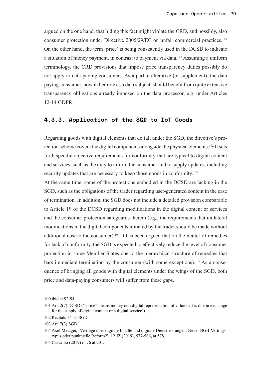<span id="page-28-0"></span>argued on the one hand, that hiding this fact might violate the CRD, and possibly, also consumer protection under Directive 2005/29/EC on unfair commercial practices.<sup>100</sup> On the other hand, the term 'price' is being consistently used in the DCSD to indicate a situation of money payment, in contrast to payment via data.101 Assuming a uniform terminology, the CRD provisions that impose price transparency duties possibly do not apply to data-paying consumers. As a partial alterative (or supplement), the data paying-consumer, now in her role as a data subject, should benefit from quite extensive transparency obligations already imposed on the data processor, e.g. under Articles 12-14 GDPR.

#### **4.3.3. Application of the SGD to IoT Goods**

Regarding goods with digital elements that do fall under the SGD, the directive's protection scheme covers the digital components alongside the physical elements.102 It sets forth specific objective requirements for conformity that are typical to digital content and services, such as the duty to inform the consumer and to supply updates, including security updates that are necessary to keep those goods in conformity.<sup>103</sup>

At the same time, some of the protections embodied in the DCSD are lacking in the SGD, such as the obligations of the trader regarding user-generated content in the case of termination. In addition, the SGD does not include a detailed provision comparable to Article 19 of the DCSD regarding modifications in the digital content or services and the consumer protection safeguards therein (e.g., the requirements that unilateral modifications in the digital components initiated by the trader should be made without additional cost to the consumer).<sup>104</sup> It has been argued that on the matter of remedies for lack of conformity, the SGD is expected to effectively reduce the level of consumer protection in some Member States due to the hierarchical structure of remedies that bars immediate termination by the consumer (with some exceptions).105 As a consequence of bringing all goods with digital elements under the wings of the SGD, both price and data-paying consumers will suffer from these gaps.

<sup>100</sup> ibid at 92-94.

<sup>101</sup> Art. 2(7) DCSD ('"price" means money or a digital representation of value that is due in exchange for the supply of digital content or a digital service').

<sup>102</sup> Recitals 14-15 SGD.

<sup>103</sup> Art. 7(3) SGD.

<sup>104</sup> Axel Metzger, 'Verträge über digitale Inhalte und digitale Dienstleistungen: Neuer BGB-Vertragstypus oder punktuelle Reform?', 12 JZ (2019), 577-586, at 578.

<sup>105</sup> Carvalho (2019) n. 76 at 201.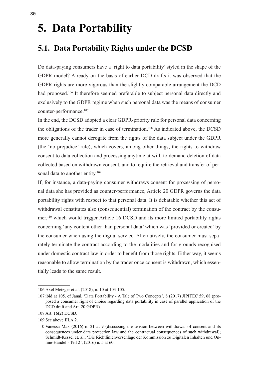## <span id="page-29-0"></span>**5. Data Portability**

### **5.1. Data Portability Rights under the DCSD**

Do data-paying consumers have a 'right to data portability' styled in the shape of the GDPR model? Already on the basis of earlier DCD drafts it was observed that the GDPR rights are more vigorous than the slightly comparable arrangement the DCD had proposed.<sup>106</sup> It therefore seemed preferable to subject personal data directly and exclusively to the GDPR regime when such personal data was the means of consumer counter-performance.107

In the end, the DCSD adopted a clear GDPR-priority rule for personal data concerning the obligations of the trader in case of termination.<sup>108</sup> As indicated above, the DCSD more generally cannot derogate from the rights of the data subject under the GDPR (the 'no prejudice' rule), which covers, among other things, the rights to withdraw consent to data collection and processing anytime at will, to demand deletion of data collected based on withdrawn consent, and to require the retrieval and transfer of personal data to another entity.<sup>109</sup>

If, for instance, a data-paying consumer withdraws consent for processing of personal data she has provided as counter-performance, Article 20 GDPR governs the data portability rights with respect to that personal data. It is debatable whether this act of withdrawal constitutes also (consequential) termination of the contract by the consumer,<sup>110</sup> which would trigger Article 16 DCSD and its more limited portability rights concerning 'any content other than personal data' which was 'provided or created' by the consumer when using the digital service. Alternatively, the consumer must separately terminate the contract according to the modalities and for grounds recognised under domestic contract law in order to benefit from those rights. Either way, it seems reasonable to allow termination by the trader once consent is withdrawn, which essentially leads to the same result.

<sup>106</sup> Axel Metzger et al. (2018), n. 10 at 103-105.

<sup>107</sup> ibid at 105. cf Janal, 'Data Portability - A Tale of Two Concepts', 8 (2017) JIPITEC 59, 68 (proposed a consumer right of choice regarding data portability in case of parallel application of the DCD draft and Art. 20 GDPR).

<sup>108</sup> Art. 16(2) DCSD.

<sup>109</sup> See above III.A.2.

<sup>110</sup> Vanessa Mak (2016) n. 21 at 9 (discussing the tension between withdrawal of consent and its consequences under data protection law and the contractual consequences of such withdrawal); Schmidt-Kessel et. al., 'Die Richtlinienvorschläge der Kommission zu Digitalen Inhalten und Online-Handel - Teil 2', (2016) n. 5 at 60.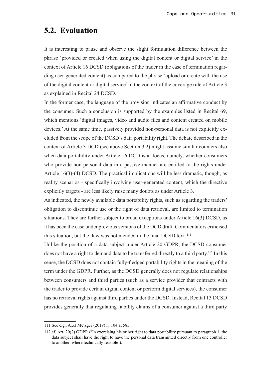### <span id="page-30-0"></span>**5.2. Evaluation**

It is interesting to pause and observe the slight formulation difference between the phrase 'provided or created when using the digital content or digital service' in the context of Article 16 DCSD (obligations of the trader in the case of termination regarding user-generated content) as compared to the phrase 'upload or create with the use of the digital content or digital service' in the context of the coverage rule of Article 3 as explained in Recital 24 DCSD.

In the former case, the language of the provision indicates an affirmative conduct by the consumer. Such a conclusion is supported by the examples listed in Recital 69, which mentions 'digital images, video and audio files and content created on mobile devices.' At the same time, passively provided non-personal data is not explicitly excluded from the scope of the DCSD's data portability right. The debate described in the context of Article 3 DCD (see above Section 3.2) might assume similar counters also when data portability under Article 16 DCD is at focus, namely, whether consumers who provide non-personal data in a passive manner are entitled to the rights under Article 16(3)-(4) DCSD. The practical implications will be less dramatic, though, as reality scenarios - specifically involving user-generated content, which the directive explicitly targets - are less likely raise many doubts as under Article 3.

As indicated, the newly available data portability rights, such as regarding the traders' obligation to discontinue use or the right of data retrieval, are limited to termination situations. They are further subject to broad exceptions under Article 16(3) DCSD, as it has been the case under previous versions of the DCD draft. Commentators criticised this situation, but the flaw was not mended in the final DCSD text.<sup>111</sup>

Unlike the position of a data subject under Article 20 GDPR, the DCSD consumer does not have a right to demand data to be transferred directly to a third party.<sup>112</sup> In this sense, the DCSD does not contain fully-fledged portability rights in the meaning of the term under the GDPR. Further, as the DCSD generally does not regulate relationships between consumers and third parties (such as a service provider that contracts with the trader to provide certain digital content or perform digital services), the consumer has no retrieval rights against third parties under the DCSD. Instead, Recital 13 DCSD provides generally that regulating liability claims of a consumer against a third party

<sup>111</sup> See e.g., Axel Metzger (2019) n. 104 at 583.

<sup>112</sup> cf. Art. 20(2) GDPR ('In exercising his or her right to data portability pursuant to paragraph 1, the data subject shall have the right to have the personal data transmitted directly from one controller to another, where technically feasible').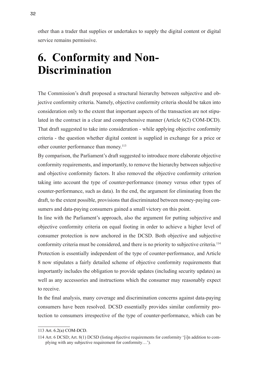<span id="page-31-0"></span>other than a trader that supplies or undertakes to supply the digital content or digital service remains permissive.

## **6. Conformity and Non-Discrimination**

The Commission's draft proposed a structural hierarchy between subjective and objective conformity criteria. Namely, objective conformity criteria should be taken into consideration only to the extent that important aspects of the transaction are not stipulated in the contract in a clear and comprehensive manner (Article 6(2) COM-DCD). That draft suggested to take into consideration - while applying objective conformity criteria - the question whether digital content is supplied in exchange for a price or other counter performance than money.<sup>113</sup>

By comparison, the Parliament's draft suggested to introduce more elaborate objective conformity requirements, and importantly, to remove the hierarchy between subjective and objective conformity factors. It also removed the objective conformity criterion taking into account the type of counter-performance (money versus other types of counter-performance, such as data). In the end, the argument for eliminating from the draft, to the extent possible, provisions that discriminated between money-paying consumers and data-paying consumers gained a small victory on this point.

In line with the Parliament's approach, also the argument for putting subjective and objective conformity criteria on equal footing in order to achieve a higher level of consumer protection is now anchored in the DCSD. Both objective and subjective conformity criteria must be considered, and there is no priority to subjective criteria.<sup>114</sup> Protection is essentially independent of the type of counter-performance, and Article 8 now stipulates a fairly detailed scheme of objective conformity requirements that importantly includes the obligation to provide updates (including security updates) as well as any accessories and instructions which the consumer may reasonably expect to receive.

In the final analysis, many coverage and discrimination concerns against data-paying consumers have been resolved. DCSD essentially provides similar conformity protection to consumers irrespective of the type of counter-performance, which can be

<sup>113</sup> Art. 6.2(a) COM-DCD.

<sup>114</sup> Art. 6 DCSD; Art. 8(1) DCSD (listing objective requirements for conformity '[i]n addition to complying with any subjective requirement for conformity…').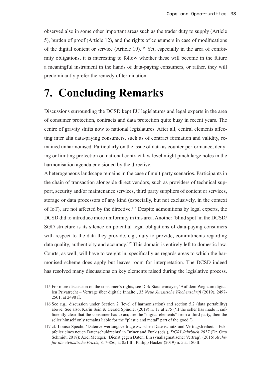<span id="page-32-0"></span>observed also in some other important areas such as the trader duty to supply (Article 5), burden of proof (Article 12), and the rights of consumers in case of modifications of the digital content or service (Article 19).115 Yet, especially in the area of conformity obligations, it is interesting to follow whether these will become in the future a meaningful instrument in the hands of data-paying consumers, or rather, they will predominantly prefer the remedy of termination.

## **7. Concluding Remarks**

Discussions surrounding the DCSD kept EU legislatures and legal experts in the area of consumer protection, contracts and data protection quite busy in recent years. The centre of gravity shifts now to national legislatures. After all, central elements affecting inter alia data-paying consumers, such as of contract formation and validity, remained unharmonised. Particularly on the issue of data as counter-performance, denying or limiting protection on national contract law level might pinch large holes in the harmonisation agenda envisioned by the directive.

A heterogeneous landscape remains in the case of multiparty scenarios. Participants in the chain of transaction alongside direct vendors, such as providers of technical support, security and/or maintenance services, third party suppliers of content or services, storage or data processors of any kind (especially, but not exclusively, in the context of IoT), are not affected by the directive.116 Despite admonitions by legal experts, the DCSD did to introduce more uniformity in this area. Another 'blind spot' in the DCSD/ SGD structure is its silence on potential legal obligations of data-paying consumers with respect to the data they provide, e.g., duty to provide, commitments regarding data quality, authenticity and accuracy.<sup>117</sup> This domain is entirely left to domestic law. Courts, as well, will have to weight in, specifically as regards areas to which the harmonised scheme does apply but leaves room for interpretation. The DCSD indeed has resolved many discussions on key elements raised during the legislative process.

<sup>115</sup> For more discussion on the consumer's rights, see Dirk Staudenmayer, 'Auf dem Weg zum digitalen Privatrecht – Verträge über digitale Inhalte', 35 *Neue Jurisitsche Wochenschrift* (2019), 2497- 2501, at 2498 ff.

<sup>116</sup> See e.g., discussion under Section 2 (level of harmonisation) and section 5.2 (data portability) above. See also, Karin Sein & Gerald Spindler (2019) n. 17 at 275 ('if the seller has made it sufficiently clear that the consumer has to acquire the "digital elements" from a third party, then the seller himself only remains liable for the "plastic and metal" part of the good.').

<sup>117</sup> cf. Louisa Specht, 'Datenverwertungsverträge zwischen Datenschutz und Vertragsfreiheit – Eckpfeiler eines neuen Datenschuldrechts' in Briner and Funk (eds.), *DGRI Jahrbuch 2017* (Dr. Otto Schmidt, 2018); Axel Metzger, 'Dienst gegen Daten: Ein synallagmatischer Vertrag', (2016) *Archiv für die civilistische Praxis*, 817-856, at 851 ff.; Philipp Hacker (2019) n. 5 at 180 ff.